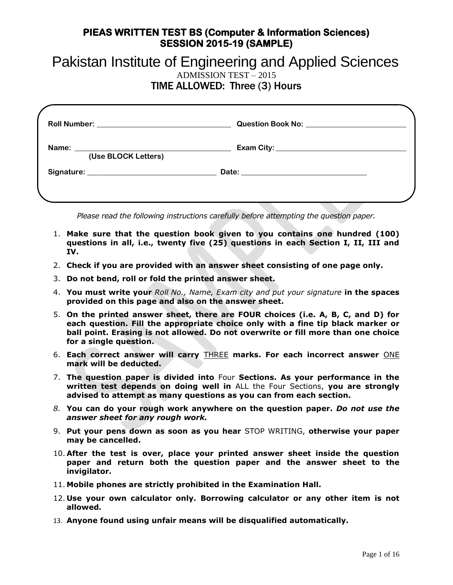# Pakistan Institute of Engineering and Applied Sciences

ADMISSION TEST – 2015

TIME ALLOWED: Three (3) Hours

|                     | Question Book No: \\contact \\contact \\contact \\contact \\contact \\contact \\contact \\contact \\contact \\contact \\contact \\contact \\contact \\contact \\contact \\contact \\contact \\contact \\contact \\contact \\co |  |
|---------------------|--------------------------------------------------------------------------------------------------------------------------------------------------------------------------------------------------------------------------------|--|
| (Use BLOCK Letters) |                                                                                                                                                                                                                                |  |
|                     |                                                                                                                                                                                                                                |  |
|                     |                                                                                                                                                                                                                                |  |

*Please read the following instructions carefully before attempting the question paper.*

- 1. **Make sure that the question book given to you contains one hundred (100) questions in all, i.e., twenty five (25) questions in each Section I, II, III and IV.**
- 2. **Check if you are provided with an answer sheet consisting of one page only.**
- 3. **Do not bend, roll or fold the printed answer sheet.**
- 4. **You must write your** *Roll No., Name, Exam city and put your signature* **in the spaces provided on this page and also on the answer sheet.**
- 5. **On the printed answer sheet, there are FOUR choices (i.e. A, B, C, and D) for each question. Fill the appropriate choice only with a fine tip black marker or ball point. Erasing is not allowed. Do not overwrite or fill more than one choice for a single question.**
- 6. **Each correct answer will carry** THREE **marks. For each incorrect answer** ONE **mark will be deducted.**
- 7. **The question paper is divided into** Four **Sections. As your performance in the written test depends on doing well in** ALL the Four Sections, **you are strongly advised to attempt as many questions as you can from each section.**
- *8.* **You can do your rough work anywhere on the question paper.** *Do not use the answer sheet for any rough work.*
- 9. **Put your pens down as soon as you hear** STOP WRITING, **otherwise your paper may be cancelled.**
- 10. **After the test is over, place your printed answer sheet inside the question paper and return both the question paper and the answer sheet to the invigilator.**
- 11. **Mobile phones are strictly prohibited in the Examination Hall.**
- 12. **Use your own calculator only. Borrowing calculator or any other item is not allowed.**
- 13. **Anyone found using unfair means will be disqualified automatically.**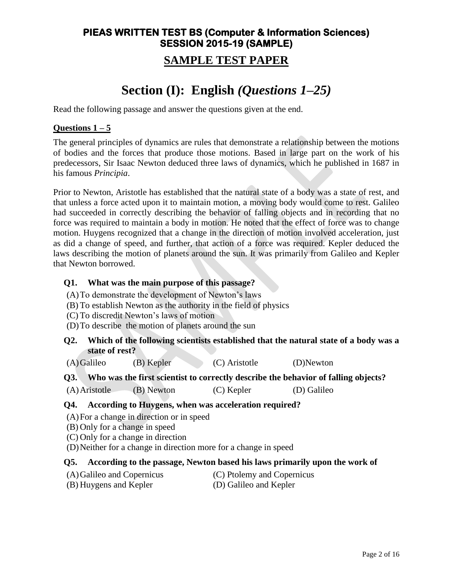## **PIEAS WRITTEN TEST BS (Computer & Information Sciences) SESSION 2015-19 (SAMPLE) SAMPLE TEST PAPER**

## **Section (I): English** *(Questions 1–25)*

Read the following passage and answer the questions given at the end.

#### **Questions 1 – 5**

The general principles of dynamics are rules that demonstrate a relationship between the motions of bodies and the forces that produce those motions. Based in large part on the work of his predecessors, Sir Isaac Newton deduced three laws of dynamics, which he published in 1687 in his famous *Principia*.

Prior to Newton, Aristotle has established that the natural state of a body was a state of rest, and that unless a force acted upon it to maintain motion, a moving body would come to rest. Galileo had succeeded in correctly describing the behavior of falling objects and in recording that no force was required to maintain a body in motion. He noted that the effect of force was to change motion. Huygens recognized that a change in the direction of motion involved acceleration, just as did a change of speed, and further, that action of a force was required. Kepler deduced the laws describing the motion of planets around the sun. It was primarily from Galileo and Kepler that Newton borrowed.

#### **Q1. What was the main purpose of this passage?**

- (A)To demonstrate the development of Newton's laws
- (B) To establish Newton as the authority in the field of physics
- (C) To discredit Newton's laws of motion
- (D)To describe the motion of planets around the sun
- **Q2. Which of the following scientists established that the natural state of a body was a state of rest?**
- (A)Galileo (B) Kepler (C) Aristotle (D)Newton

**Q3. Who was the first scientist to correctly describe the behavior of falling objects?**

(A)Aristotle (B) Newton (C) Kepler (D) Galileo

#### **Q4. According to Huygens, when was acceleration required?**

- (A)For a change in direction or in speed
- (B) Only for a change in speed
- (C) Only for a change in direction
- (D)Neither for a change in direction more for a change in speed

#### **Q5. According to the passage, Newton based his laws primarily upon the work of**

- (A)Galileo and Copernicus (C) Ptolemy and Copernicus
	-
- (B) Huygens and Kepler (D) Galileo and Kepler
-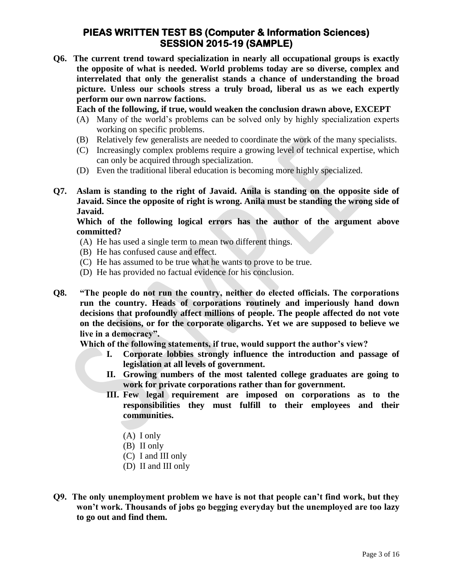**Q6. The current trend toward specialization in nearly all occupational groups is exactly the opposite of what is needed. World problems today are so diverse, complex and interrelated that only the generalist stands a chance of understanding the broad picture. Unless our schools stress a truly broad, liberal us as we each expertly perform our own narrow factions.**

**Each of the following, if true, would weaken the conclusion drawn above, EXCEPT**

- (A) Many of the world's problems can be solved only by highly specialization experts working on specific problems.
- (B) Relatively few generalists are needed to coordinate the work of the many specialists.
- (C) Increasingly complex problems require a growing level of technical expertise, which can only be acquired through specialization.
- (D) Even the traditional liberal education is becoming more highly specialized.
- **Q7. Aslam is standing to the right of Javaid. Anila is standing on the opposite side of Javaid. Since the opposite of right is wrong. Anila must be standing the wrong side of Javaid.**

**Which of the following logical errors has the author of the argument above committed?**

- (A) He has used a single term to mean two different things.
- (B) He has confused cause and effect.
- (C) He has assumed to be true what he wants to prove to be true.
- (D) He has provided no factual evidence for his conclusion.
- **Q8. "The people do not run the country, neither do elected officials. The corporations run the country. Heads of corporations routinely and imperiously hand down decisions that profoundly affect millions of people. The people affected do not vote on the decisions, or for the corporate oligarchs. Yet we are supposed to believe we live in a democracy".**

**Which of the following statements, if true, would support the author's view?**

- **I. Corporate lobbies strongly influence the introduction and passage of legislation at all levels of government.**
- **II. Growing numbers of the most talented college graduates are going to work for private corporations rather than for government.**
- **III. Few legal requirement are imposed on corporations as to the responsibilities they must fulfill to their employees and their communities.**
	- (A) I only
	- (B) II only
	- (C) I and III only
	- (D) II and III only
- **Q9. The only unemployment problem we have is not that people can't find work, but they won't work. Thousands of jobs go begging everyday but the unemployed are too lazy to go out and find them.**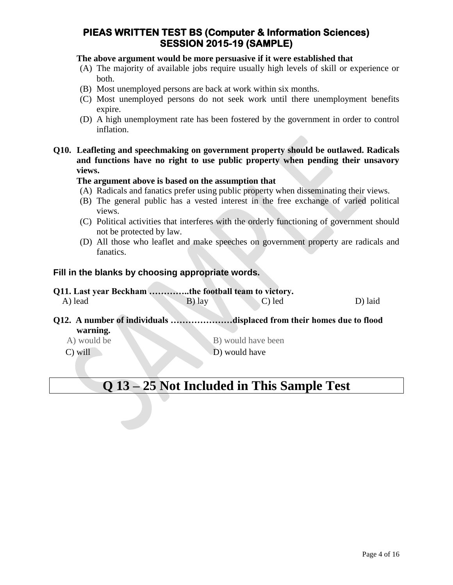#### **The above argument would be more persuasive if it were established that**

- (A) The majority of available jobs require usually high levels of skill or experience or both.
- (B) Most unemployed persons are back at work within six months.
- (C) Most unemployed persons do not seek work until there unemployment benefits expire.
- (D) A high unemployment rate has been fostered by the government in order to control inflation.
- **Q10. Leafleting and speechmaking on government property should be outlawed. Radicals and functions have no right to use public property when pending their unsavory views.**

#### **The argument above is based on the assumption that**

- (A) Radicals and fanatics prefer using public property when disseminating their views.
- (B) The general public has a vested interest in the free exchange of varied political views.
- (C) Political activities that interferes with the orderly functioning of government should not be protected by law.
- (D) All those who leaflet and make speeches on government property are radicals and fanatics.

#### **Fill in the blanks by choosing appropriate words.**

| Q11. Last year Beckham the football team to victory.                 |          |                    |         |
|----------------------------------------------------------------------|----------|--------------------|---------|
| A) lead                                                              | $B)$ lay | C) led             | D) laid |
| Q12. A number of individuals displaced from their homes due to flood |          |                    |         |
| warning.                                                             |          |                    |         |
| A) would be                                                          |          | B) would have been |         |
| $C)$ will                                                            |          | D) would have      |         |
|                                                                      |          |                    |         |

## **Q 13 – 25 Not Included in This Sample Test**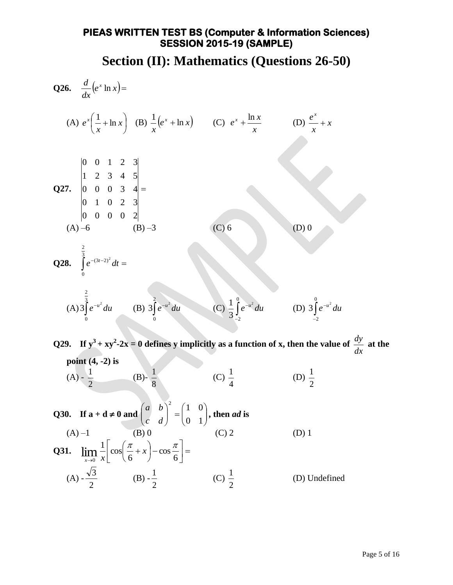**Section (II): Mathematics (Questions 26-50)**

Q26. 
$$
\frac{d}{dx}(e^{x} \ln x) =
$$
  
\n(A)  $e^{x}(\frac{1}{x} + \ln x)$  (B)  $\frac{1}{x}(e^{x} + \ln x)$  (C)  $e^{x} + \frac{\ln x}{x}$  (D)  $\frac{e^{x}}{x} + x$   
\nQ27.  $\begin{vmatrix} 0 & 0 & 1 & 2 & 3 \\ 0 & 1 & 0 & 2 & 3 \\ 0 & 0 & 0 & 3 & 4 \\ 0 & 0 & 0 & 0 & 2 \\ 0 & 0 & 0 & 0 & 2 \end{vmatrix}$   
\n(A)  $\frac{2}{3}(e^{-a^{2}}du)$  (B)  $3\int_{0}^{2} e^{-a^{2}} du$  (C)  $6$   
\nQ28.  $\int_{0}^{\frac{2}{3}} e^{-a^{2}} du$  (B)  $3\int_{0}^{2} e^{-a^{2}} du$  (C)  $\frac{1}{3} \int_{2}^{3} e^{-a^{2}} du$  (D)  $3\int_{-2}^{6} e^{-a^{2}} du$   
\nQ29. If  $y^{3} + xy^{2} - 2x = 0$  defines y implicitly as a function of x, then the value of  $\frac{dy}{dx}$  at the point (4, -2) is  
\n(A)  $-\frac{1}{2}$  (B)  $-\frac{1}{8}$  (C)  $\frac{1}{4}$  (D)  $\frac{1}{2}$   
\nQ30. If  $a + d \ne 0$  and  $\begin{pmatrix} a & b \\ c & d \end{pmatrix}^{2} = \begin{pmatrix} 1 & 0 \\ 0 & 1 \end{pmatrix}$ , then *ad* is  
\n(A) -1 (B) 0 (C) 2 (D) 1  
\nQ31.  $\lim_{x \to 0} \frac{1}{x} \left[ cos(\frac{\pi}{6} + x) - cos\frac{\pi}{6} \right] =$   
\n(A)  $-\frac{\sqrt{3}}{2}$  (B)  $-\frac{1}{2}$  (C)  $\frac{1}{2}$  (D) Undefined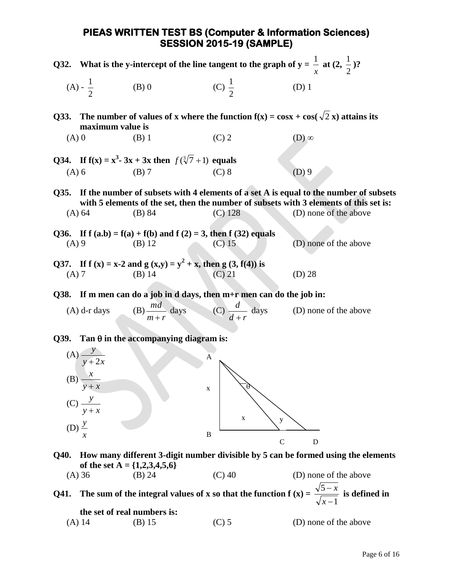|                     | Q32. What is the y-intercept of the line tangent to the graph of $y = \frac{1}{x}$ at $(2, \frac{1}{2})$ ? |                                                                                    |                                                                       |                                                                                                                                                                                                          |  |
|---------------------|------------------------------------------------------------------------------------------------------------|------------------------------------------------------------------------------------|-----------------------------------------------------------------------|----------------------------------------------------------------------------------------------------------------------------------------------------------------------------------------------------------|--|
|                     | (A) - $\frac{1}{2}$                                                                                        | $(B)$ 0                                                                            | (C) $\frac{1}{2}$                                                     | $(D)$ 1                                                                                                                                                                                                  |  |
| Q33.                | maximum value is                                                                                           |                                                                                    |                                                                       | The number of values of x where the function $f(x) = \cos x + \cos(\sqrt{2} x)$ attains its                                                                                                              |  |
| $(A)$ 0             |                                                                                                            | $(B)$ 1                                                                            | $(C)$ 2                                                               | $(D)$ $\infty$                                                                                                                                                                                           |  |
|                     |                                                                                                            | Q34. If $f(x) = x^3 - 3x + 3x$ then $f(\sqrt[3]{7} + 1)$ equals                    |                                                                       |                                                                                                                                                                                                          |  |
| $(A)$ 6             |                                                                                                            | $(B)$ 7                                                                            | $(C)$ 8                                                               | $(D)$ 9                                                                                                                                                                                                  |  |
| Q35.                | (A) 64                                                                                                     | (B) 84                                                                             | $(C)$ 128                                                             | If the number of subsets with 4 elements of a set A is equal to the number of subsets<br>with 5 elements of the set, then the number of subsets with 3 elements of this set is:<br>(D) none of the above |  |
| $(A)$ 9             |                                                                                                            | Q36. If $f (a,b) = f(a) + f(b)$ and $f (2) = 3$ , then $f (32)$ equals<br>$(B)$ 12 | $(C)$ 15                                                              | (D) none of the above                                                                                                                                                                                    |  |
| $(A)$ 7             |                                                                                                            | Q37. If $f(x) = x-2$ and $g(x,y) = y^2 + x$ , then $g(3, f(4))$ is<br>$(B)$ 14     | $(C)$ 21                                                              | $(D)$ 28                                                                                                                                                                                                 |  |
|                     |                                                                                                            |                                                                                    | Q38. If m men can do a job in d days, then m+r men can do the job in: |                                                                                                                                                                                                          |  |
|                     | $(A)$ d-r days                                                                                             | (B) $\frac{md}{m+r}$ days                                                          | (C) $\frac{d}{d+r}$ days                                              | (D) none of the above                                                                                                                                                                                    |  |
|                     |                                                                                                            | Q39. Tan $\theta$ in the accompanying diagram is:                                  |                                                                       |                                                                                                                                                                                                          |  |
|                     | (A) $\frac{y}{y+2x}$<br>(B) $\frac{x}{y+2x}$<br>$y + x$                                                    | A<br>X                                                                             |                                                                       |                                                                                                                                                                                                          |  |
| $(D)$ $\frac{y}{x}$ | (C) $\frac{y}{y+x}$                                                                                        |                                                                                    | $\mathbf X$<br>y                                                      |                                                                                                                                                                                                          |  |
|                     |                                                                                                            | $\, {\bf B}$                                                                       | $\mathcal{C}$                                                         | D<br>040. How many different 3-digit number divisible by 5 can be formed using the elements                                                                                                              |  |

**Q40. How many different 3-digit number divisible by 5 can be formed using the elements of the set A = {1,2,3,4,5,6}** (A) 36 (B) 24 (C) 40 (D) none of the above

**Q41.** The sum of the integral values of x so that the function  $f(x) =$ 1 5  $\overline{a}$ *x*  $\frac{x}{x}$  is defined in **the set of real numbers is:**

(A) 14 (B) 15 (C) 5 (D) none of the above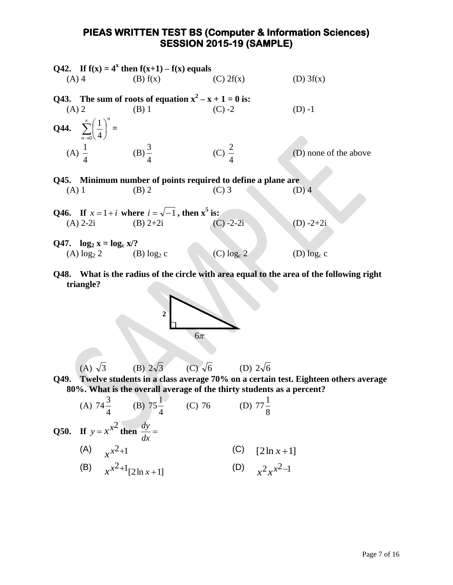|         |                                                                | Q42. If $f(x) = 4^x$ then $f(x+1) - f(x)$ equals             |                          |                       |
|---------|----------------------------------------------------------------|--------------------------------------------------------------|--------------------------|-----------------------|
|         | $(A)$ 4                                                        | (B) f(x)                                                     | (C) 2f(x)                | (D) 3f(x)             |
|         |                                                                | Q43. The sum of roots of equation $x^2 - x + 1 = 0$ is:      |                          |                       |
| $(A)$ 2 | $(B)$ 1                                                        |                                                              | $(C) -2$                 | $(D) -1$              |
|         | <b>Q44.</b> $\sum_{n=0}^{\infty} \left(\frac{1}{4}\right)^n =$ |                                                              |                          |                       |
|         | (A) $\frac{1}{4}$ (B) $\frac{3}{4}$                            |                                                              | (C) $\frac{2}{4}$        | (D) none of the above |
|         |                                                                | Q45. Minimum number of points required to define a plane are |                          |                       |
| $(A)$ 1 |                                                                | $(B)$ 2                                                      | $(C)$ 3                  | $(D)$ 4               |
|         |                                                                | Q46. If $x=1+i$ where $i=\sqrt{-1}$ , then $x^5$ is:         |                          |                       |
|         | (A) $2-2i$ (B) $2+2i$                                          |                                                              | $(C) -2-2i$              | $(D) -2 + 2i$         |
|         | Q47. $\log_2 x = \log_c x$ ?                                   |                                                              |                          |                       |
|         | (A) $\log_2 2$ (B) $\log_2 c$                                  |                                                              | $(C)$ log <sub>c</sub> 2 | (D) $log_c c$         |

**Q48. What is the radius of the circle with area equal to the area of the following right triangle?** 



**Q49. Twelve students in a class average 70% on a certain test. Eighteen others average 80%. What is the overall average of the thirty students as a percent?**

(A) 
$$
74\frac{3}{4}
$$
 (B)  $75\frac{1}{4}$  (C) 76 (D)  $77\frac{1}{8}$   
\nQ50. If  $y = x^{x^2}$  then  $\frac{dy}{dx} =$   
\n(A)  $x^{x^2+1}$  (C)  $[2\ln x + 1]$   
\n(B)  $x^{x^2+1}[2\ln x + 1]$  (D)  $x^2 x^{x^2-1}$ 

 $(A) \sqrt{3}$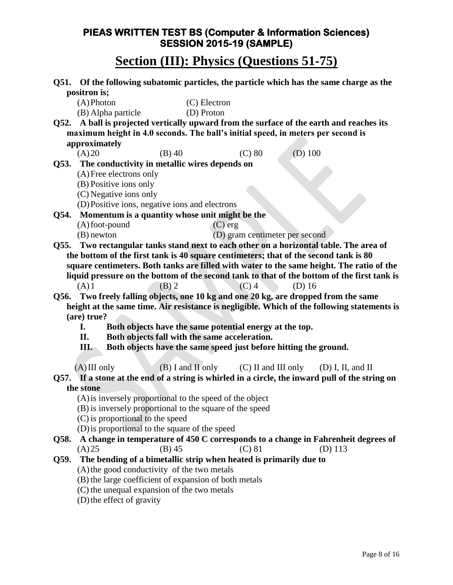## **Section (III): Physics (Questions 51-75)**

|      |                                                                                      |                                                                  |              |                                           |           | Q51. Of the following subatomic particles, the particle which has the same charge as the        |
|------|--------------------------------------------------------------------------------------|------------------------------------------------------------------|--------------|-------------------------------------------|-----------|-------------------------------------------------------------------------------------------------|
|      | positron is;                                                                         |                                                                  |              |                                           |           |                                                                                                 |
|      | $(A)$ Photon                                                                         |                                                                  | (C) Electron |                                           |           |                                                                                                 |
|      | (B) Alpha particle                                                                   |                                                                  | (D) Proton   |                                           |           |                                                                                                 |
| Q52. |                                                                                      |                                                                  |              |                                           |           | A ball is projected vertically upward from the surface of the earth and reaches its             |
|      | maximum height in 4.0 seconds. The ball's initial speed, in meters per second is     |                                                                  |              |                                           |           |                                                                                                 |
|      | approximately                                                                        |                                                                  |              |                                           |           |                                                                                                 |
|      | (A)20                                                                                | $(B)$ 40                                                         |              | $(C)$ 80                                  | $(D)$ 100 |                                                                                                 |
| Q53. | The conductivity in metallic wires depends on                                        |                                                                  |              |                                           |           |                                                                                                 |
|      | (A) Free electrons only                                                              |                                                                  |              |                                           |           |                                                                                                 |
|      | (B) Positive ions only                                                               |                                                                  |              |                                           |           |                                                                                                 |
|      | (C) Negative ions only                                                               |                                                                  |              |                                           |           |                                                                                                 |
|      | (D) Positive ions, negative ions and electrons                                       |                                                                  |              |                                           |           |                                                                                                 |
| Q54. | Momentum is a quantity whose unit might be the                                       |                                                                  |              |                                           |           |                                                                                                 |
|      | $(A)$ foot-pound                                                                     |                                                                  | $(C)$ erg    |                                           |           |                                                                                                 |
|      | $(B)$ newton                                                                         |                                                                  |              | (D) gram centimeter per second            |           |                                                                                                 |
|      |                                                                                      |                                                                  |              |                                           |           | Q55. Two rectangular tanks stand next to each other on a horizontal table. The area of          |
|      | the bottom of the first tank is 40 square centimeters; that of the second tank is 80 |                                                                  |              |                                           |           |                                                                                                 |
|      |                                                                                      |                                                                  |              |                                           |           | square centimeters. Both tanks are filled with water to the same height. The ratio of the       |
|      |                                                                                      |                                                                  |              |                                           |           | liquid pressure on the bottom of the second tank to that of the bottom of the first tank is     |
|      | (A)1                                                                                 | $(B)$ 2                                                          |              | $(C)$ 4                                   | $(D)$ 16  |                                                                                                 |
| Q56. |                                                                                      |                                                                  |              |                                           |           | Two freely falling objects, one 10 kg and one 20 kg, are dropped from the same                  |
|      |                                                                                      |                                                                  |              |                                           |           | height at the same time. Air resistance is negligible. Which of the following statements is     |
|      | (are) true?                                                                          |                                                                  |              |                                           |           |                                                                                                 |
|      | I.                                                                                   | Both objects have the same potential energy at the top.          |              |                                           |           |                                                                                                 |
|      | П.                                                                                   | Both objects fall with the same acceleration.                    |              |                                           |           |                                                                                                 |
|      | Ш.                                                                                   | Both objects have the same speed just before hitting the ground. |              |                                           |           |                                                                                                 |
|      |                                                                                      |                                                                  |              |                                           |           |                                                                                                 |
|      | $(A)$ III only                                                                       |                                                                  |              | $(B)$ I and II only $(C)$ II and III only |           | $(D)$ I, II, and II                                                                             |
|      |                                                                                      |                                                                  |              |                                           |           | Q57. If a stone at the end of a string is whirled in a circle, the inward pull of the string on |
|      | the stone                                                                            |                                                                  |              |                                           |           |                                                                                                 |
|      | (A) is inversely proportional to the speed of the object                             |                                                                  |              |                                           |           |                                                                                                 |
|      | (B) is inversely proportional to the square of the speed                             |                                                                  |              |                                           |           |                                                                                                 |
|      | (C) is proportional to the speed                                                     |                                                                  |              |                                           |           |                                                                                                 |
|      | (D) is proportional to the square of the speed                                       |                                                                  |              |                                           |           |                                                                                                 |
| Q58. |                                                                                      |                                                                  |              |                                           |           | A change in temperature of 450 C corresponds to a change in Fahrenheit degrees of               |
|      | (A)25                                                                                | $(B)$ 45                                                         |              | $(C)$ 81                                  |           | $(D)$ 113                                                                                       |
| Q59. | The bending of a bimetallic strip when heated is primarily due to                    |                                                                  |              |                                           |           |                                                                                                 |
|      | (A) the good conductivity of the two metals                                          |                                                                  |              |                                           |           |                                                                                                 |
|      | (B) the large coefficient of expansion of both metals                                |                                                                  |              |                                           |           |                                                                                                 |
|      | (C) the unequal expansion of the two metals                                          |                                                                  |              |                                           |           |                                                                                                 |
|      | (D) the effect of gravity                                                            |                                                                  |              |                                           |           |                                                                                                 |
|      |                                                                                      |                                                                  |              |                                           |           |                                                                                                 |
|      |                                                                                      |                                                                  |              |                                           |           |                                                                                                 |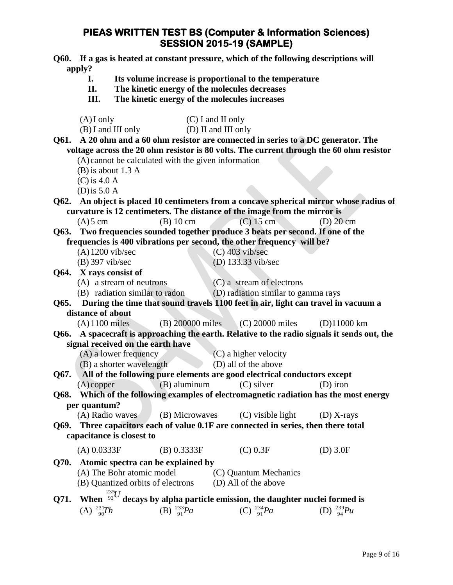|        | <b>O60.</b> If a gas is heated at constant pressure, which of the following descriptions will |
|--------|-----------------------------------------------------------------------------------------------|
| apply? |                                                                                               |
|        | Its volume increase is proportional to the temperature                                        |
|        |                                                                                               |

- **I. Its volume increase is proportional to the temperature**
- **II. The kinetic energy of the molecules decreases**
- **III. The kinetic energy of the molecules increases**

|      | $(A)$ I only                                                                                                                |                                           | $(C)$ I and II only |                                     |                                                                                         |  |
|------|-----------------------------------------------------------------------------------------------------------------------------|-------------------------------------------|---------------------|-------------------------------------|-----------------------------------------------------------------------------------------|--|
|      |                                                                                                                             | (B) I and III only<br>(D) II and III only |                     |                                     |                                                                                         |  |
| Q61. | A 20 ohm and a 60 ohm resistor are connected in series to a DC generator. The                                               |                                           |                     |                                     |                                                                                         |  |
|      |                                                                                                                             |                                           |                     |                                     | voltage across the 20 ohm resistor is 80 volts. The current through the 60 ohm resistor |  |
|      | (A) cannot be calculated with the given information                                                                         |                                           |                     |                                     |                                                                                         |  |
|      | $(B)$ is about 1.3 A                                                                                                        |                                           |                     |                                     |                                                                                         |  |
|      | $(C)$ is 4.0 A                                                                                                              |                                           |                     |                                     |                                                                                         |  |
|      | (D) is $5.0 \text{ A}$                                                                                                      |                                           |                     |                                     |                                                                                         |  |
| Q62. |                                                                                                                             |                                           |                     |                                     | An object is placed 10 centimeters from a concave spherical mirror whose radius of      |  |
|      | curvature is 12 centimeters. The distance of the image from the mirror is                                                   |                                           |                     |                                     |                                                                                         |  |
|      | $(A)$ 5 cm                                                                                                                  | $(B)$ 10 cm                               |                     | $(C)$ 15 cm                         | $(D)$ 20 cm                                                                             |  |
|      | Q63. Two frequencies sounded together produce 3 beats per second. If one of the                                             |                                           |                     |                                     |                                                                                         |  |
|      | frequencies is 400 vibrations per second, the other frequency will be?                                                      |                                           |                     |                                     |                                                                                         |  |
|      | $(A)$ 1200 vib/sec                                                                                                          |                                           |                     | $(C)$ 403 vib/sec                   |                                                                                         |  |
|      | $(B)$ 397 vib/sec                                                                                                           |                                           |                     | (D) 133.33 vib/sec                  |                                                                                         |  |
| Q64. | X rays consist of                                                                                                           |                                           |                     |                                     |                                                                                         |  |
|      | (A) a stream of neutrons                                                                                                    |                                           |                     | (C) a stream of electrons           |                                                                                         |  |
|      | (B) radiation similar to radon                                                                                              |                                           |                     | (D) radiation similar to gamma rays |                                                                                         |  |
| Q65. | During the time that sound travels 1100 feet in air, light can travel in vacuum a<br>distance of about                      |                                           |                     |                                     |                                                                                         |  |
|      | $(A)$ 1100 miles                                                                                                            |                                           |                     | (B) 200000 miles (C) 20000 miles    | $(D)11000 \text{ km}$                                                                   |  |
| Q66. |                                                                                                                             |                                           |                     |                                     |                                                                                         |  |
|      | A spacecraft is approaching the earth. Relative to the radio signals it sends out, the<br>signal received on the earth have |                                           |                     |                                     |                                                                                         |  |
|      | (A) a lower frequency<br>(C) a higher velocity                                                                              |                                           |                     |                                     |                                                                                         |  |
|      | (B) a shorter wavelength                                                                                                    |                                           |                     | (D) all of the above                |                                                                                         |  |
| Q67. | All of the following pure elements are good electrical conductors except                                                    |                                           |                     |                                     |                                                                                         |  |
|      | $(A)$ copper                                                                                                                | $(B)$ aluminum                            |                     | $(C)$ silver                        | $(D)$ iron                                                                              |  |
| Q68. |                                                                                                                             |                                           |                     |                                     | Which of the following examples of electromagnetic radiation has the most energy        |  |
|      | per quantum?                                                                                                                |                                           |                     |                                     |                                                                                         |  |
|      | (A) Radio waves                                                                                                             |                                           |                     | (B) Microwaves (C) visible light    | $(D)$ X-rays                                                                            |  |
|      | Q69. Three capacitors each of value 0.1F are connected in series, then there total                                          |                                           |                     |                                     |                                                                                         |  |
|      | capacitance is closest to                                                                                                   |                                           |                     |                                     |                                                                                         |  |
|      | (A) 0.0333F                                                                                                                 | (B) 0.3333F                               |                     | $(C)$ 0.3F                          | $(D)$ 3.0F                                                                              |  |
| Q70. | Atomic spectra can be explained by                                                                                          |                                           |                     |                                     |                                                                                         |  |
|      | (A) The Bohr atomic model<br>(C) Quantum Mechanics                                                                          |                                           |                     |                                     |                                                                                         |  |
|      | (B) Quantized orbits of electrons<br>(D) All of the above                                                                   |                                           |                     |                                     |                                                                                         |  |
|      | When $\frac{^{235}U}{^{92}}$ decays by alpha particle emission, the daughter nuclei formed is                               |                                           |                     |                                     |                                                                                         |  |
| Q71. |                                                                                                                             |                                           |                     |                                     |                                                                                         |  |
|      | (A) $^{231}_{90}Th$                                                                                                         | (B) $^{233}_{91}Pa$                       |                     | (C) $^{234}_{91}Pa$                 | (D) $^{239}_{94}Pu$                                                                     |  |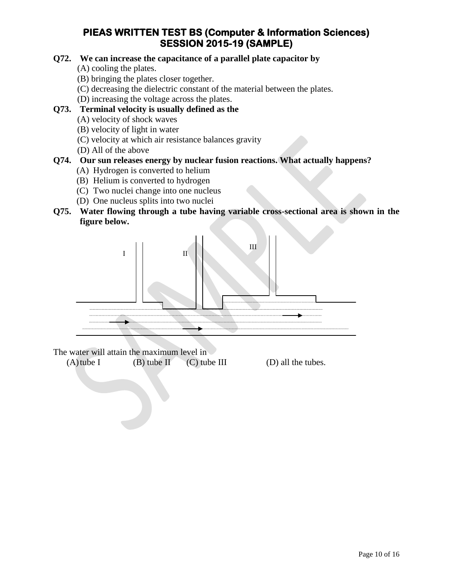#### **Q72. We can increase the capacitance of a parallel plate capacitor by**

(A) cooling the plates.

- (B) bringing the plates closer together.
- (C) decreasing the dielectric constant of the material between the plates.
- (D) increasing the voltage across the plates.

#### **Q73. Terminal velocity is usually defined as the**

- (A) velocity of shock waves
- (B) velocity of light in water
- (C) velocity at which air resistance balances gravity
- (D) All of the above

#### **Q74. Our sun releases energy by nuclear fusion reactions. What actually happens?**

- (A) Hydrogen is converted to helium
- (B) Helium is converted to hydrogen
- (C) Two nuclei change into one nucleus
- (D) One nucleus splits into two nuclei
- **Q75. Water flowing through a tube having variable cross-sectional area is shown in the figure below.**



The water will attain the maximum level in

 $(A)$  tube I (B) tube II (C) tube III (D) all the tubes.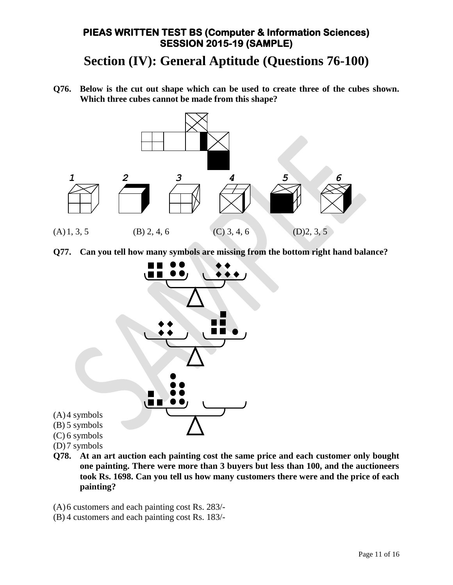## **Section (IV): General Aptitude (Questions 76-100)**

**Q76. Below is the cut out shape which can be used to create three of the cubes shown. Which three cubes cannot be made from this shape?**



**Q77. Can you tell how many symbols are missing from the bottom right hand balance?**



- (D)7 symbols
- **Q78. At an art auction each painting cost the same price and each customer only bought one painting. There were more than 3 buyers but less than 100, and the auctioneers took Rs. 1698. Can you tell us how many customers there were and the price of each painting?**
- (A)6 customers and each painting cost Rs. 283/-
- (B) 4 customers and each painting cost Rs. 183/-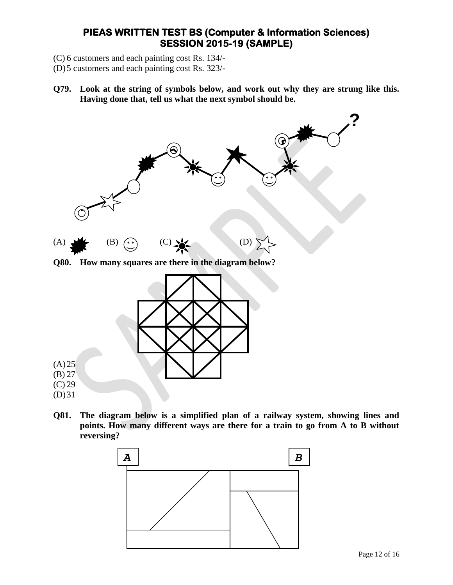- (C) 6 customers and each painting cost Rs. 134/-
- (D)5 customers and each painting cost Rs. 323/-
- **Q79. Look at the string of symbols below, and work out why they are strung like this. Having done that, tell us what the next symbol should be.**



**Q80. How many squares are there in the diagram below?**



**Q81. The diagram below is a simplified plan of a railway system, showing lines and points. How many different ways are there for a train to go from A to B without reversing?**

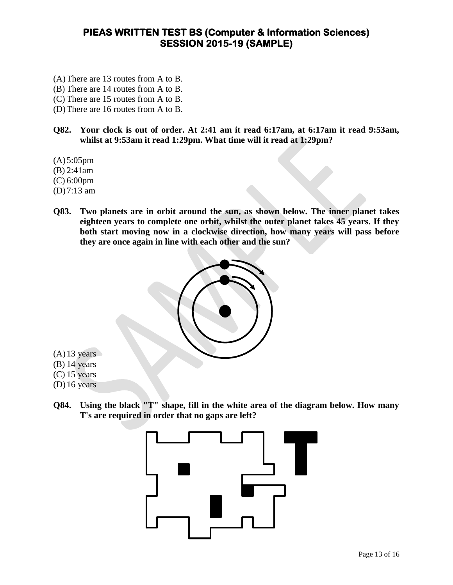- (A)There are 13 routes from A to B.
- (B) There are 14 routes from A to B.
- (C) There are 15 routes from A to B.
- (D)There are 16 routes from A to B.
- **Q82. Your clock is out of order. At 2:41 am it read 6:17am, at 6:17am it read 9:53am, whilst at 9:53am it read 1:29pm. What time will it read at 1:29pm?**
- $(A) 5:05$ pm
- (B) 2:41am
- (C) 6:00pm
- (D)7:13 am
- **Q83. Two planets are in orbit around the sun, as shown below. The inner planet takes eighteen years to complete one orbit, whilst the outer planet takes 45 years. If they both start moving now in a clockwise direction, how many years will pass before they are once again in line with each other and the sun?**



- $(A)$ 13 years
- (B) 14 years
- $(C)$  15 years
- (D)16 years
- **Q84. Using the black "T" shape, fill in the white area of the diagram below. How many T's are required in order that no gaps are left?**

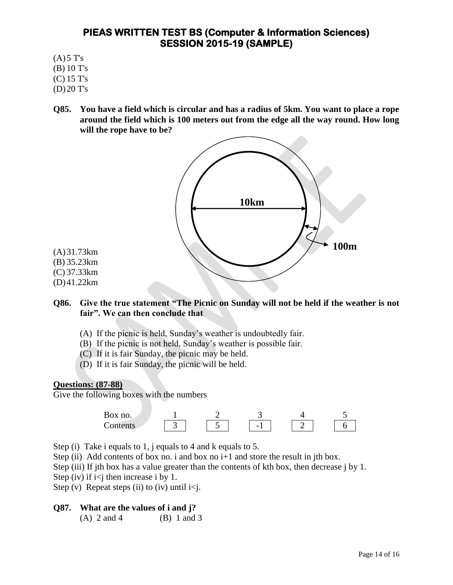- $(A)$ 5 T's
- (B) 10 T's (C) 15 T's
- 
- (D)20 T's
- **Q85. You have a field which is circular and has a radius of 5km. You want to place a rope around the field which is 100 meters out from the edge all the way round. How long will the rope have to be?**



#### **Q86. Give the true statement "The Picnic on Sunday will not be held if the weather is not fair". We can then conclude that**

- (A) If the picnic is held, Sunday's weather is undoubtedly fair.
- (B) If the picnic is not held, Sunday's weather is possible fair.
- (C) If it is fair Sunday, the picnic may be held.
- (D) If it is fair Sunday, the picnic will be held.

#### **Questions: (87-88)**

Give the following boxes with the numbers



Step (i) Take i equals to 1, j equals to 4 and k equals to 5.

Step (ii) Add contents of box no. i and box no  $i+1$  and store the result in jth box.

Step (iii) If jth box has a value greater than the contents of kth box, then decrease j by 1.

Step (iv) if  $i < j$  then increase i by 1.

Step (v) Repeat steps (ii) to (iv) until  $i < j$ .

#### **Q87. What are the values of i and j?**

(A) 2 and 4 (B) 1 and 3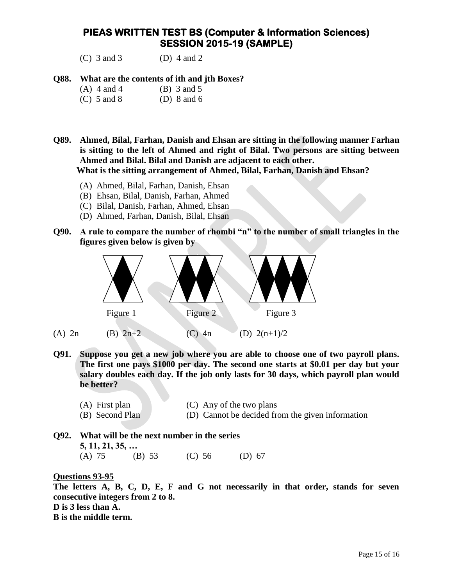(C) 3 and 3 (D) 4 and 2

#### **Q88. What are the contents of ith and jth Boxes?**

- (A)  $4$  and  $4$  (B)  $3$  and  $5$
- (C) 5 and 8 (D) 8 and 6
- **Q89. Ahmed, Bilal, Farhan, Danish and Ehsan are sitting in the following manner Farhan is sitting to the left of Ahmed and right of Bilal. Two persons are sitting between Ahmed and Bilal. Bilal and Danish are adjacent to each other.**

**What is the sitting arrangement of Ahmed, Bilal, Farhan, Danish and Ehsan?**

- (A) Ahmed, Bilal, Farhan, Danish, Ehsan
- (B) Ehsan, Bilal, Danish, Farhan, Ahmed
- (C) Bilal, Danish, Farhan, Ahmed, Ehsan
- (D) Ahmed, Farhan, Danish, Bilal, Ehsan
- **Q90. A rule to compare the number of rhombi "n" to the number of small triangles in the figures given below is given by**



- **Q91. Suppose you get a new job where you are able to choose one of two payroll plans. The first one pays \$1000 per day. The second one starts at \$0.01 per day but your salary doubles each day. If the job only lasts for 30 days, which payroll plan would be better?**
	- (A) First plan (C) Any of the two plans
	- (B) Second Plan (D) Cannot be decided from the given information
- **Q92. What will be the next number in the series 5, 11, 21, 35, …** (A) 75 (B) 53 (C) 56 (D) 67

**Questions 93-95**

**The letters A, B, C, D, E, F and G not necessarily in that order, stands for seven consecutive integers from 2 to 8. D is 3 less than A. B is the middle term.**